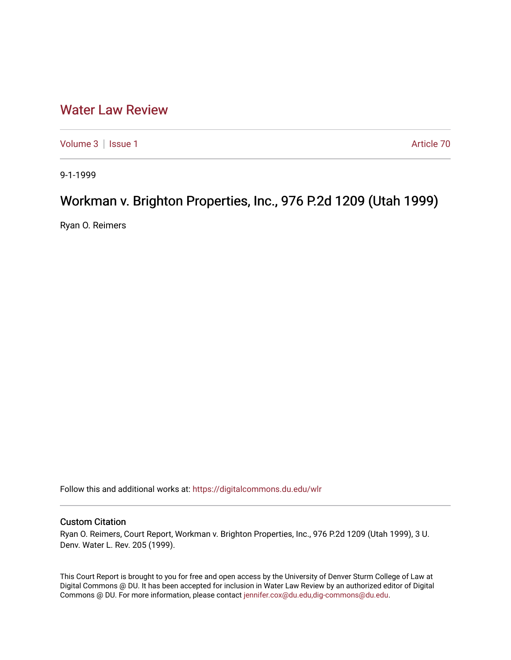## [Water Law Review](https://digitalcommons.du.edu/wlr)

[Volume 3](https://digitalcommons.du.edu/wlr/vol3) | [Issue 1](https://digitalcommons.du.edu/wlr/vol3/iss1) Article 70

9-1-1999

## Workman v. Brighton Properties, Inc., 976 P.2d 1209 (Utah 1999)

Ryan O. Reimers

Follow this and additional works at: [https://digitalcommons.du.edu/wlr](https://digitalcommons.du.edu/wlr?utm_source=digitalcommons.du.edu%2Fwlr%2Fvol3%2Fiss1%2F70&utm_medium=PDF&utm_campaign=PDFCoverPages) 

## Custom Citation

Ryan O. Reimers, Court Report, Workman v. Brighton Properties, Inc., 976 P.2d 1209 (Utah 1999), 3 U. Denv. Water L. Rev. 205 (1999).

This Court Report is brought to you for free and open access by the University of Denver Sturm College of Law at Digital Commons @ DU. It has been accepted for inclusion in Water Law Review by an authorized editor of Digital Commons @ DU. For more information, please contact [jennifer.cox@du.edu,dig-commons@du.edu.](mailto:jennifer.cox@du.edu,dig-commons@du.edu)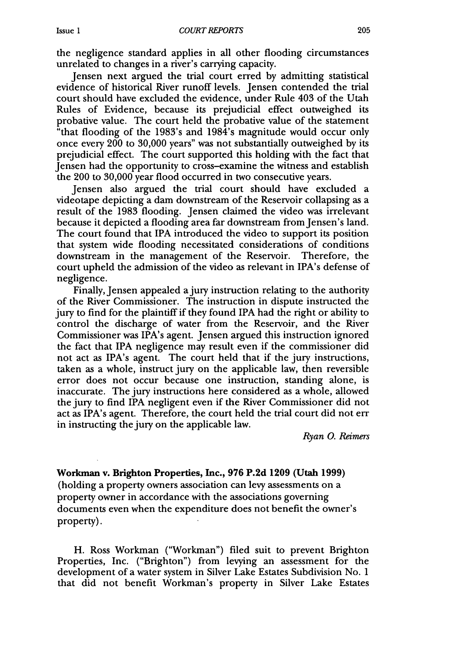the negligence standard applies in all other flooding circumstances unrelated to changes in a river's carrying capacity.

Jensen next argued the trial court erred by admitting statistical evidence of historical River runoff levels. Jensen contended the trial court should have excluded the evidence, under Rule 403 of the Utah Rules of Evidence, because its prejudicial effect outweighed its probative value. The court held the probative value of the statement "that flooding of the 1983's and 1984's magnitude would occur only once every 200 to 30,000 years" was not substantially outweighed by its prejudicial effect. The court supported this holding with the fact that Jensen had the opportunity to cross-examine the witness and establish the 200 to 30,000 year flood occurred in two consecutive years.

Jensen also argued the trial court should have excluded a videotape depicting a dam downstream of the Reservoir collapsing as a result of the 1983 flooding. Jensen claimed the video was irrelevant because it depicted a flooding area far downstream from Jensen's land. The court found that IPA introduced the video to support its position that system wide flooding necessitated considerations of conditions downstream in the management of the Reservoir. Therefore, the court upheld the admission of the video as relevant in IPA's defense of negligence.

Finally, Jensen appealed a jury instruction relating to the authority of the River Commissioner. The instruction in dispute instructed the jury to find for the plaintiff if they found IPA had the right or ability to control the discharge of water from the Reservoir, and the River Commissioner was IPA's agent. Jensen argued this instruction ignored the fact that IPA negligence may result even if the commissioner did not act as IPA's agent. The court held that if the jury instructions, taken as a whole, instruct jury on the applicable law, then reversible error does not occur because one instruction, standing alone, is inaccurate. The jury instructions here considered as a whole, allowed the jury to find IPA negligent even if the River Commissioner did not act as IPA's agent. Therefore, the court held the trial court did not err in instructing the jury on the applicable law.

*Ryan 0. Reimers*

Workman v. **Brighton Properties, Inc., 976 P.2d 1209 (Utah 1999)** (holding a property owners association can levy assessments on a property owner in accordance with the associations governing documents even when the expenditure does not benefit the owner's

property).

H. Ross Workman ("Workman") filed suit to prevent Brighton Properties, Inc. ("Brighton") from levying an assessment for the development of a water system in Silver Lake Estates Subdivision No. 1 that did not benefit Workman's property in Silver Lake Estates